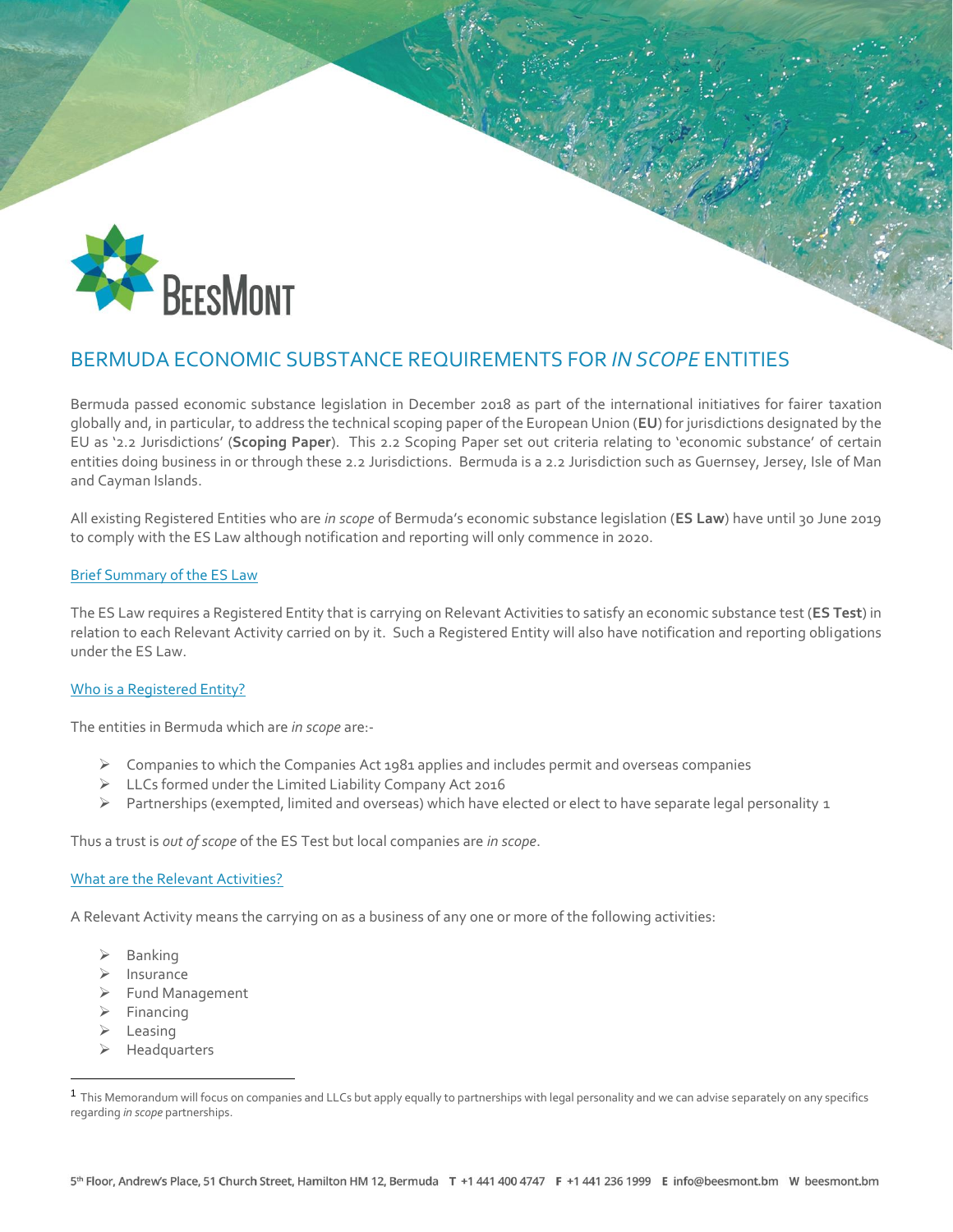

# BERMUDA ECONOMIC SUBSTANCE REQUIREMENTS FOR *IN SCOPE* ENTITIES

Bermuda passed economic substance legislation in December 2018 as part of the international initiatives for fairer taxation globally and, in particular, to address the technical scoping paper of the European Union (**EU**) for jurisdictions designated by the EU as '2.2 Jurisdictions' (**Scoping Paper**). This 2.2 Scoping Paper set out criteria relating to 'economic substance' of certain entities doing business in or through these 2.2 Jurisdictions. Bermuda is a 2.2 Jurisdiction such as Guernsey, Jersey, Isle of Man and Cayman Islands.

All existing Registered Entities who are *in scope* of Bermuda's economic substance legislation (**ES Law**) have until 30 June 2019 to comply with the ES Law although notification and reporting will only commence in 2020.

# Brief Summary of the ES Law

The ES Law requires a Registered Entity that is carrying on Relevant Activities to satisfy an economic substance test (**ES Test**) in relation to each Relevant Activity carried on by it. Such a Registered Entity will also have notification and reporting obligations under the ES Law.

# Who is a Registered Entity?

The entities in Bermuda which are *in scope* are:-

- $\triangleright$  Companies to which the Companies Act 1981 applies and includes permit and overseas companies
- $\triangleright$  LLCs formed under the Limited Liability Company Act 2016
- Partnerships (exempted, limited and overseas) which have elected or elect to have separate legal personality  $1$

Thus a trust is *out of scope* of the ES Test but local companies are *in scope*.

#### What are the Relevant Activities?

A Relevant Activity means the carrying on as a business of any one or more of the following activities:

- $\triangleright$  Banking
- $\blacktriangleright$  Insurance
- $\triangleright$  Fund Management
- $\triangleright$  Financing
- $\blacktriangleright$  Leasing

1

> Headquarters

<sup>&</sup>lt;sup>1</sup> This Memorandum will focus on companies and LLCs but apply equally to partnerships with legal personality and we can advise separately on any specifics regarding *in scope* partnerships.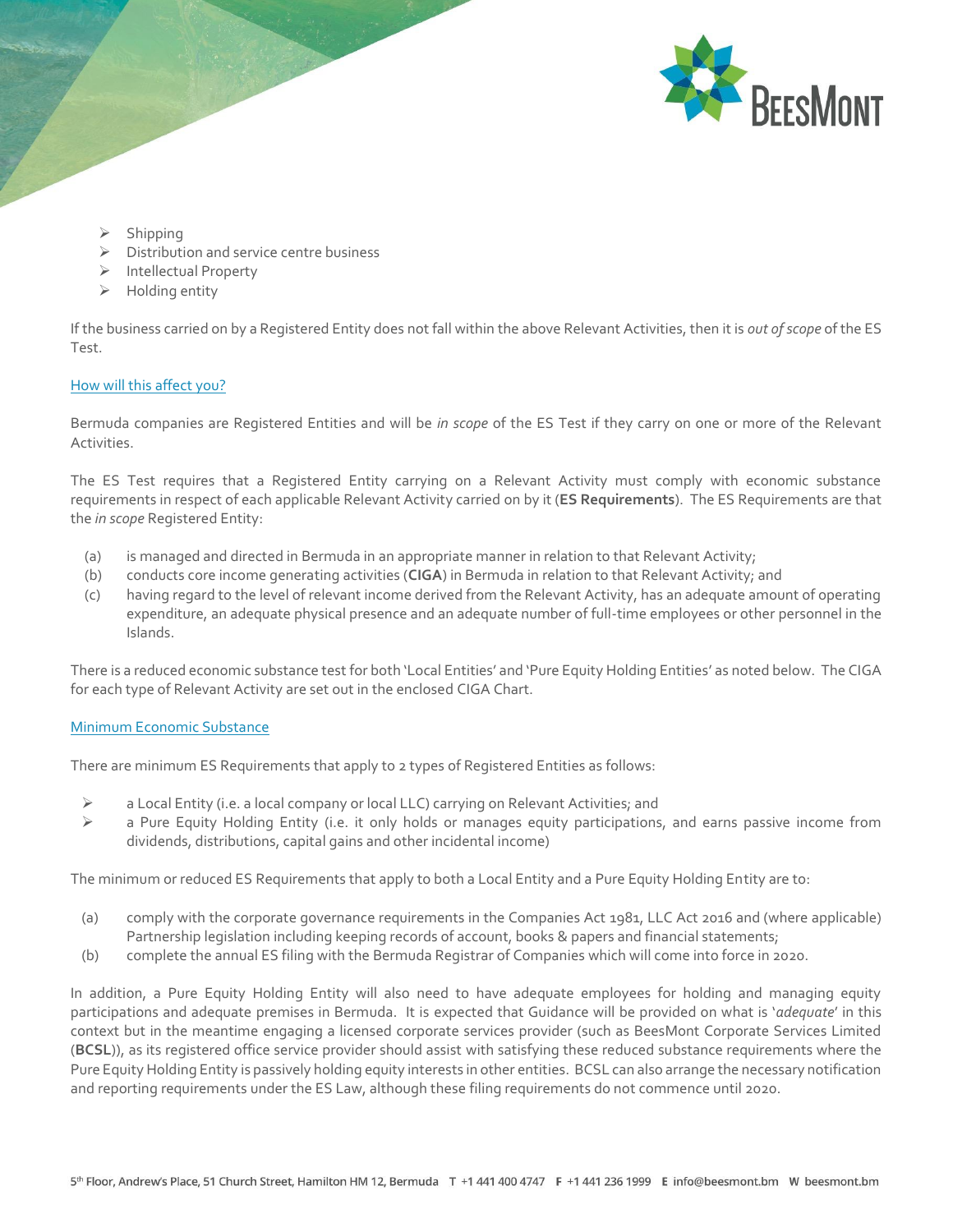

- $\triangleright$  Shipping
- $\triangleright$  Distribution and service centre business
- $\triangleright$  Intellectual Property
- $\triangleright$  Holding entity

If the business carried on by a Registered Entity does not fall within the above Relevant Activities, then it is *out of scope* of the ES Test.

# How will this affect you?

Bermuda companies are Registered Entities and will be *in scope* of the ES Test if they carry on one or more of the Relevant Activities.

The ES Test requires that a Registered Entity carrying on a Relevant Activity must comply with economic substance requirements in respect of each applicable Relevant Activity carried on by it (**ES Requirements**). The ES Requirements are that the *in scope* Registered Entity:

- (a) is managed and directed in Bermuda in an appropriate manner in relation to that Relevant Activity;
- (b) conducts core income generating activities (**CIGA**) in Bermuda in relation to that Relevant Activity; and
- (c) having regard to the level of relevant income derived from the Relevant Activity, has an adequate amount of operating expenditure, an adequate physical presence and an adequate number of full-time employees or other personnel in the Islands.

There is a reduced economic substance test for both 'Local Entities' and 'Pure Equity Holding Entities' as noted below. The CIGA for each type of Relevant Activity are set out in the enclosed CIGA Chart.

#### Minimum Economic Substance

There are minimum ES Requirements that apply to 2 types of Registered Entities as follows:

- $\ge$  a Local Entity (i.e. a local company or local LLC) carrying on Relevant Activities; and<br>  $\ge$  a Pure Equity Holding Entity (i.e. it only holds or manages equity participations
- a Pure Equity Holding Entity (i.e. it only holds or manages equity participations, and earns passive income from dividends, distributions, capital gains and other incidental income)

The minimum or reduced ES Requirements that apply to both a Local Entity and a Pure Equity Holding Entity are to:

- (a) comply with the corporate governance requirements in the Companies Act 1981, LLC Act 2016 and (where applicable) Partnership legislation including keeping records of account, books & papers and financial statements;
- (b) complete the annual ES filing with the Bermuda Registrar of Companies which will come into force in 2020.

In addition, a Pure Equity Holding Entity will also need to have adequate employees for holding and managing equity participations and adequate premises in Bermuda. It is expected that Guidance will be provided on what is '*adequate*' in this context but in the meantime engaging a licensed corporate services provider (such as BeesMont Corporate Services Limited (**BCSL**)), as its registered office service provider should assist with satisfying these reduced substance requirements where the Pure Equity Holding Entity is passively holding equity interests in other entities. BCSL can also arrange the necessary notification and reporting requirements under the ES Law, although these filing requirements do not commence until 2020.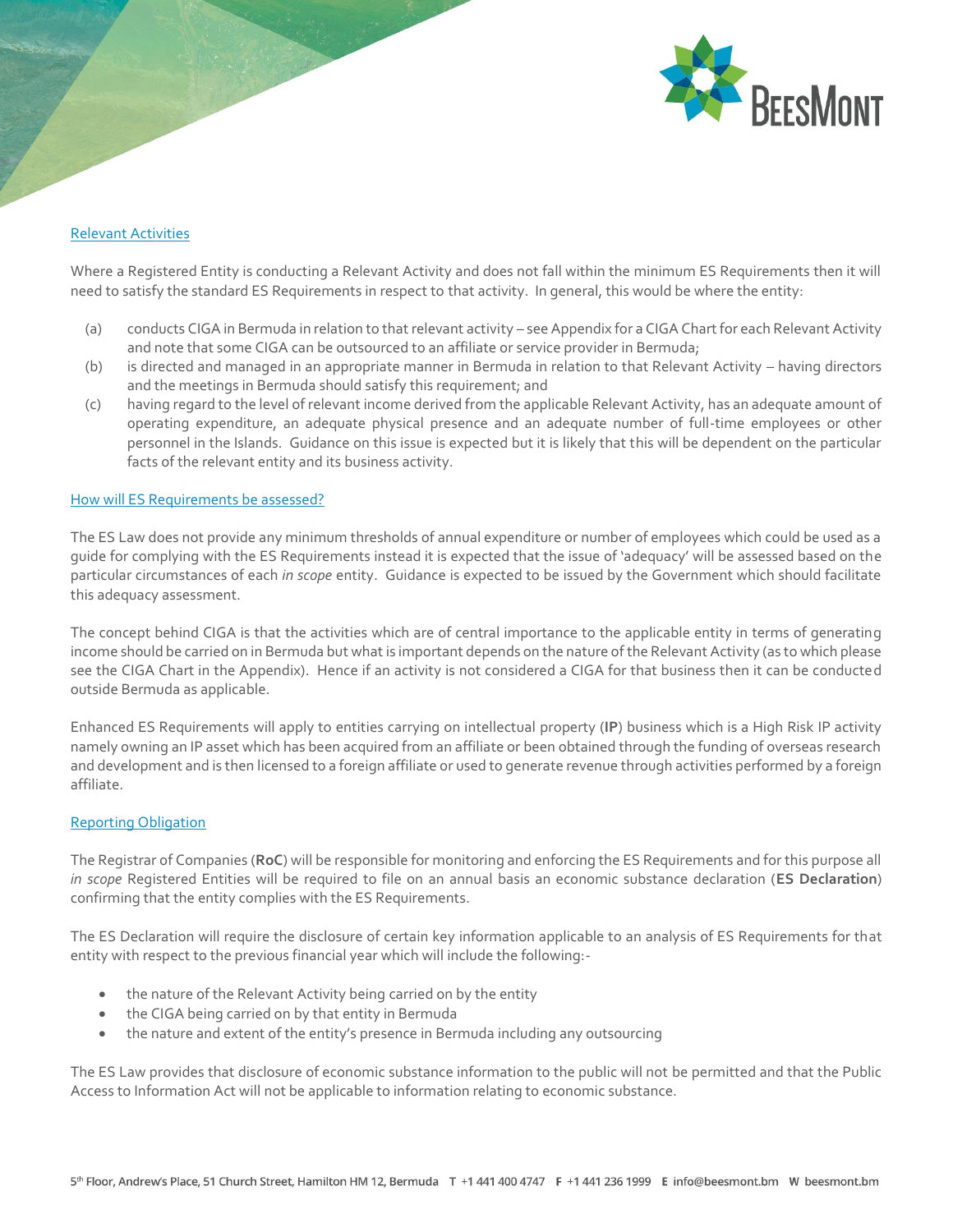

## Relevant Activities

Where a Registered Entity is conducting a Relevant Activity and does not fall within the minimum ES Requirements then it will need to satisfy the standard ES Requirements in respect to that activity. In general, this would be where the entity:

- (a) conducts CIGA in Bermuda in relation to that relevant activity see Appendix for a CIGA Chart for each Relevant Activity and note that some CIGA can be outsourced to an affiliate or service provider in Bermuda;
- (b) is directed and managed in an appropriate manner in Bermuda in relation to that Relevant Activity having directors and the meetings in Bermuda should satisfy this requirement; and
- (c) having regard to the level of relevant income derived from the applicable Relevant Activity, has an adequate amount of operating expenditure, an adequate physical presence and an adequate number of full-time employees or other personnel in the Islands. Guidance on this issue is expected but it is likely that this will be dependent on the particular facts of the relevant entity and its business activity.

#### How will ES Requirements be assessed?

The ES Law does not provide any minimum thresholds of annual expenditure or number of employees which could be used as a guide for complying with the ES Requirements instead it is expected that the issue of 'adequacy' will be assessed based on the particular circumstances of each *in scope* entity. Guidance is expected to be issued by the Government which should facilitate this adequacy assessment.

The concept behind CIGA is that the activities which are of central importance to the applicable entity in terms of generating income should be carried on in Bermuda but what is important depends on the nature of the Relevant Activity (as to which please see the CIGA Chart in the Appendix). Hence if an activity is not considered a CIGA for that business then it can be conducted outside Bermuda as applicable.

Enhanced ES Requirements will apply to entities carrying on intellectual property (**IP**) business which is a High Risk IP activity namely owning an IP asset which has been acquired from an affiliate or been obtained through the funding of overseas research and development and is then licensed to a foreign affiliate or used to generate revenue through activities performed by a foreign affiliate.

#### Reporting Obligation

The Registrar of Companies (**RoC**) will be responsible for monitoring and enforcing the ES Requirements and for this purpose all *in scope* Registered Entities will be required to file on an annual basis an economic substance declaration (**ES Declaration**) confirming that the entity complies with the ES Requirements.

The ES Declaration will require the disclosure of certain key information applicable to an analysis of ES Requirements for that entity with respect to the previous financial year which will include the following:-

- the nature of the Relevant Activity being carried on by the entity
- the CIGA being carried on by that entity in Bermuda
- the nature and extent of the entity's presence in Bermuda including any outsourcing

The ES Law provides that disclosure of economic substance information to the public will not be permitted and that the Public Access to Information Act will not be applicable to information relating to economic substance.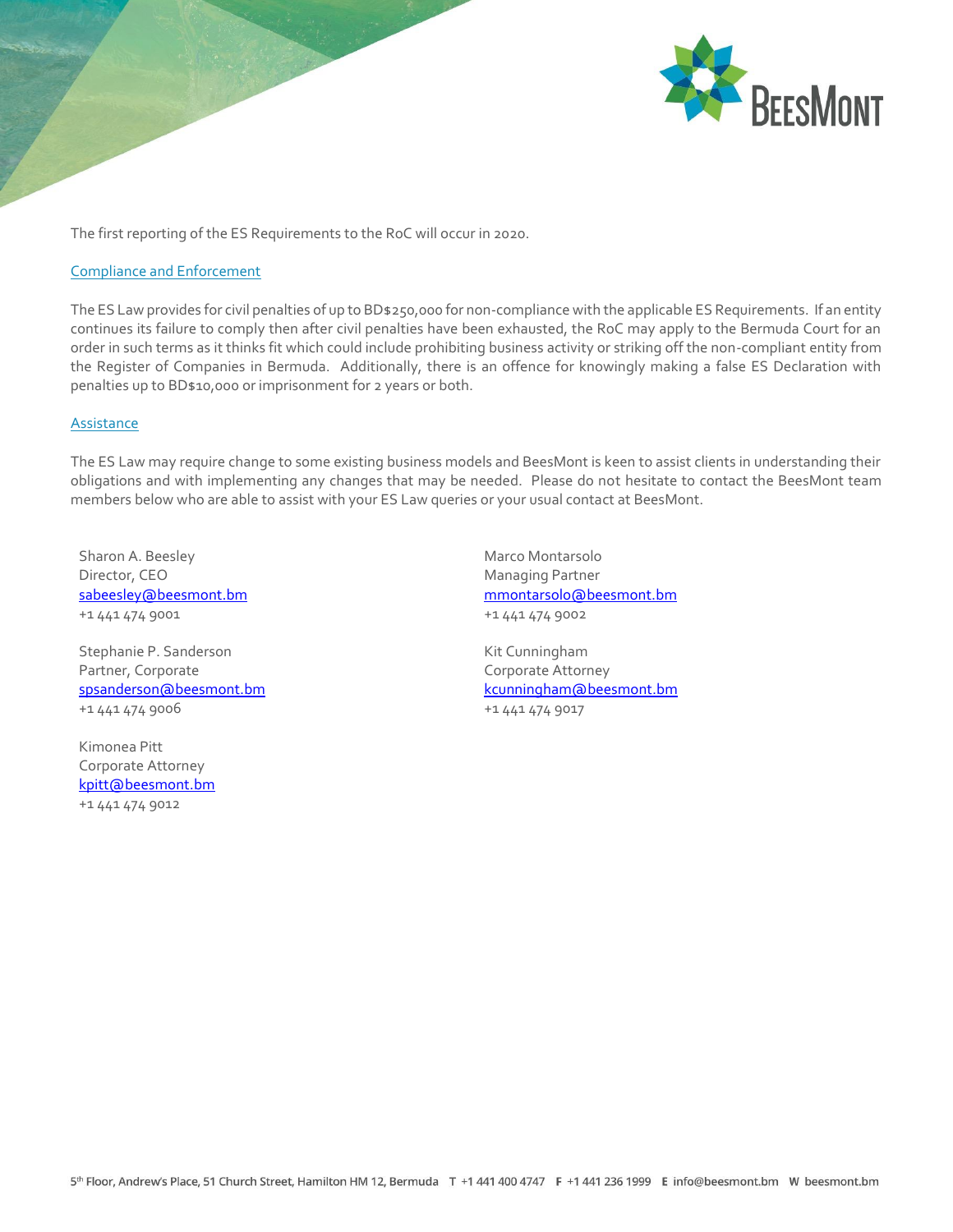

The first reporting of the ES Requirements to the RoC will occur in 2020.

## Compliance and Enforcement

The ES Law provides for civil penalties of up to BD\$250,000 for non-compliance with the applicable ES Requirements. If an entity continues its failure to comply then after civil penalties have been exhausted, the RoC may apply to the Bermuda Court for an order in such terms as it thinks fit which could include prohibiting business activity or striking off the non-compliant entity from the Register of Companies in Bermuda. Additionally, there is an offence for knowingly making a false ES Declaration with penalties up to BD\$10,000 or imprisonment for 2 years or both.

#### **Assistance**

The ES Law may require change to some existing business models and BeesMont is keen to assist clients in understanding their obligations and with implementing any changes that may be needed. Please do not hesitate to contact the BeesMont team members below who are able to assist with your ES Law queries or your usual contact at BeesMont.

Sharon A. Beesley Director, CEO [sabeesley@beesmont.bm](mailto:sabeesley@beesmont.bm) +1 441 474 9001

Stephanie P. Sanderson Partner, Corporate [spsanderson@beesmont.bm](mailto:spsanderson@beesmont.bm) +1 441 474 9006

Kimonea Pitt Corporate Attorney [kpitt@beesmont.bm](mailto:kpitt@beesmont.bm) +1 441 474 9012

Marco Montarsolo Managing Partner [mmontarsolo@beesmont.bm](mailto:mmontarsolo@beesmont.bm) +1 441 474 9002

Kit Cunningham Corporate Attorney [kcunningham@beesmont.bm](mailto:kcunningham@beesmont.bm) +1 441 474 9017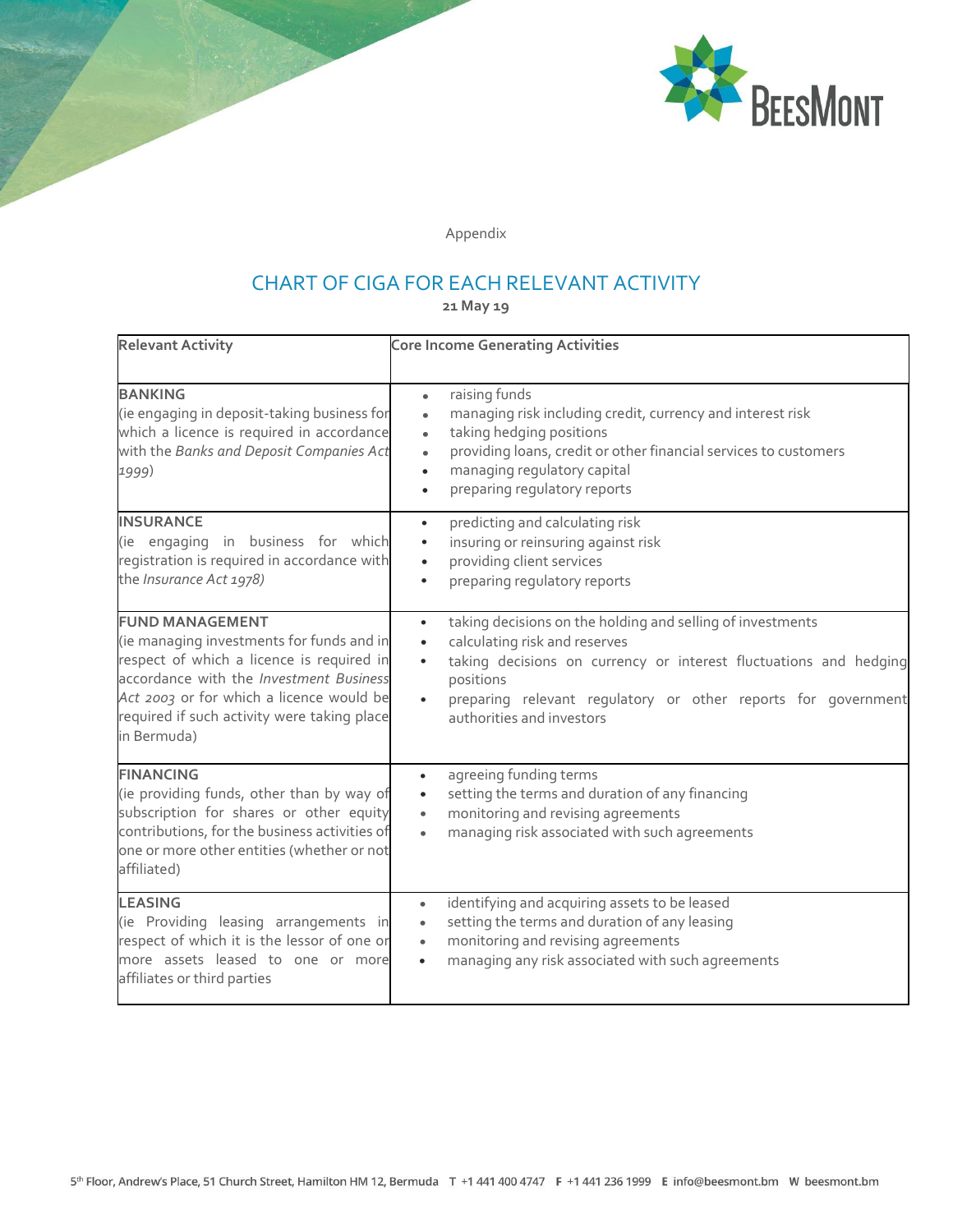

Appendix

# CHART OF CIGA FOR EACH RELEVANT ACTIVITY

**21 May 19**

| <b>Relevant Activity</b>                                                                                                                                                                                                                                              | <b>Core Income Generating Activities</b>                                                                                                                                                                                                                                                                                 |
|-----------------------------------------------------------------------------------------------------------------------------------------------------------------------------------------------------------------------------------------------------------------------|--------------------------------------------------------------------------------------------------------------------------------------------------------------------------------------------------------------------------------------------------------------------------------------------------------------------------|
| <b>BANKING</b><br>(ie engaging in deposit-taking business for<br>which a licence is required in accordance<br>with the Banks and Deposit Companies Act<br>1999)                                                                                                       | raising funds<br>$\bullet$<br>managing risk including credit, currency and interest risk<br>$\bullet$<br>taking hedging positions<br>$\bullet$<br>providing loans, credit or other financial services to customers<br>$\bullet$<br>managing regulatory capital<br>$\bullet$<br>preparing regulatory reports<br>$\bullet$ |
| <b>INSURANCE</b><br>(ie engaging in business for which<br>registration is required in accordance with<br>the Insurance Act 1978)                                                                                                                                      | predicting and calculating risk<br>$\bullet$<br>insuring or reinsuring against risk<br>$\bullet$<br>providing client services<br>$\bullet$<br>preparing regulatory reports                                                                                                                                               |
| <b>FUND MANAGEMENT</b><br>(ie managing investments for funds and in<br>respect of which a licence is required in<br>accordance with the Investment Business<br>Act 2003 or for which a licence would be<br>required if such activity were taking place<br>in Bermuda) | taking decisions on the holding and selling of investments<br>$\bullet$<br>calculating risk and reserves<br>$\bullet$<br>taking decisions on currency or interest fluctuations and hedging<br>$\bullet$<br>positions<br>preparing relevant regulatory or other reports for government<br>authorities and investors       |
| <b>FINANCING</b><br>(ie providing funds, other than by way of<br>subscription for shares or other equity<br>contributions, for the business activities of<br>one or more other entities (whether or not<br>affiliated)                                                | agreeing funding terms<br>$\bullet$<br>setting the terms and duration of any financing<br>$\bullet$<br>monitoring and revising agreements<br>$\bullet$<br>managing risk associated with such agreements<br>$\bullet$                                                                                                     |
| <b>LEASING</b><br>(ie Providing leasing arrangements in<br>respect of which it is the lessor of one or<br>more assets leased to one or more<br>affiliates or third parties                                                                                            | identifying and acquiring assets to be leased<br>$\bullet$<br>setting the terms and duration of any leasing<br>$\bullet$<br>monitoring and revising agreements<br>$\bullet$<br>managing any risk associated with such agreements<br>$\bullet$                                                                            |